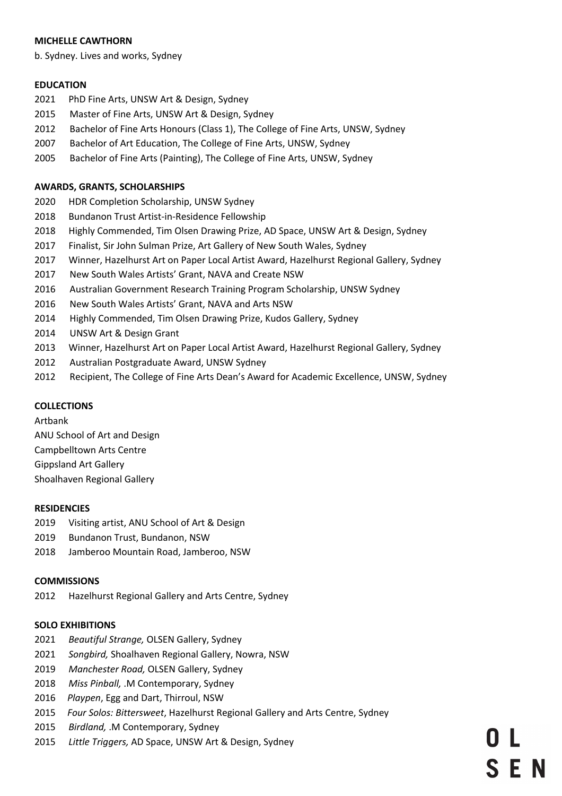#### **MICHELLE CAWTHORN**

b. Sydney. Lives and works, Sydney

#### **EDUCATION**

- 2021 PhD Fine Arts, UNSW Art & Design, Sydney
- 2015 Master of Fine Arts, UNSW Art & Design, Sydney
- 2012 Bachelor of Fine Arts Honours (Class 1), The College of Fine Arts, UNSW, Sydney
- 2007 Bachelor of Art Education, The College of Fine Arts, UNSW, Sydney
- 2005 Bachelor of Fine Arts (Painting), The College of Fine Arts, UNSW, Sydney

#### **AWARDS, GRANTS, SCHOLARSHIPS**

- 2020 HDR Completion Scholarship, UNSW Sydney
- 2018 Bundanon Trust Artist-in-Residence Fellowship
- 2018 Highly Commended, Tim Olsen Drawing Prize, AD Space, UNSW Art & Design, Sydney
- 2017 Finalist, Sir John Sulman Prize, Art Gallery of New South Wales, Sydney
- 2017 Winner, Hazelhurst Art on Paper Local Artist Award, Hazelhurst Regional Gallery, Sydney
- 2017 New South Wales Artists' Grant, NAVA and Create NSW
- 2016 Australian Government Research Training Program Scholarship, UNSW Sydney
- 2016 New South Wales Artists' Grant, NAVA and Arts NSW
- 2014 Highly Commended, Tim Olsen Drawing Prize, Kudos Gallery, Sydney
- 2014 UNSW Art & Design Grant
- 2013 Winner, Hazelhurst Art on Paper Local Artist Award, Hazelhurst Regional Gallery, Sydney
- 2012 Australian Postgraduate Award, UNSW Sydney
- 2012 Recipient, The College of Fine Arts Dean's Award for Academic Excellence, UNSW, Sydney

### **COLLECTIONS**

Artbank ANU School of Art and Design Campbelltown Arts Centre

Gippsland Art Gallery

Shoalhaven Regional Gallery

#### **RESIDENCIES**

- 2019 Visiting artist, ANU School of Art & Design
- 2019 Bundanon Trust, Bundanon, NSW
- 2018 Jamberoo Mountain Road, Jamberoo, NSW

#### **COMMISSIONS**

2012 Hazelhurst Regional Gallery and Arts Centre, Sydney

### **SOLO EXHIBITIONS**

- 2021 *Beautiful Strange,* OLSEN Gallery, Sydney
- 2021 *Songbird,* Shoalhaven Regional Gallery, Nowra, NSW
- 2019 *Manchester Road,* OLSEN Gallery, Sydney
- 2018 *Miss Pinball,* .M Contemporary, Sydney
- 2016 *Playpen*, Egg and Dart, Thirroul, NSW
- 2015 *Four Solos: Bittersweet*, Hazelhurst Regional Gallery and Arts Centre, Sydney
- 2015 *Birdland,* .M Contemporary, Sydney
- 2015 *Little Triggers,* AD Space, UNSW Art & Design, Sydney

**SEN**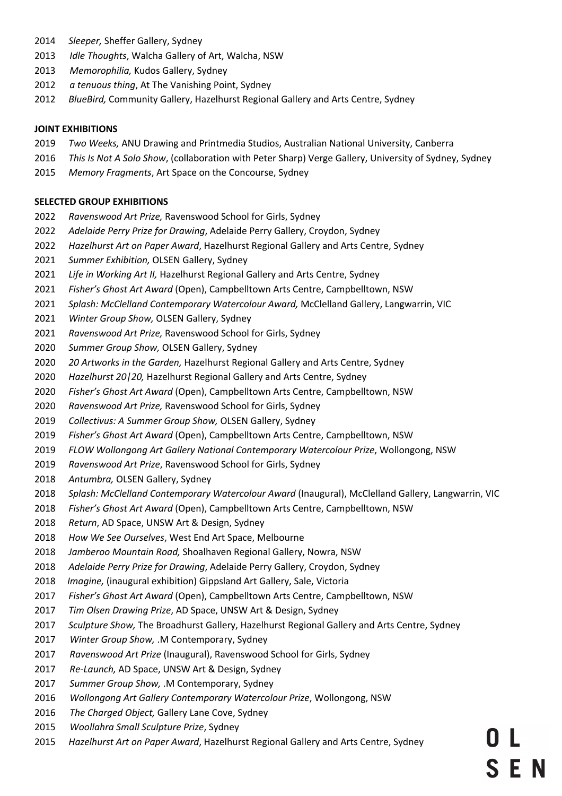- *Sleeper,* Sheffer Gallery, Sydney
- *Idle Thoughts*, Walcha Gallery of Art, Walcha, NSW
- *Memorophilia,* Kudos Gallery, Sydney
- *a tenuous thing*, At The Vanishing Point, Sydney
- *BlueBird,* Community Gallery, Hazelhurst Regional Gallery and Arts Centre, Sydney

## **JOINT EXHIBITIONS**

- *Two Weeks,* ANU Drawing and Printmedia Studios, Australian National University, Canberra
- *This Is Not A Solo Show*, (collaboration with Peter Sharp) Verge Gallery, University of Sydney, Sydney
- *Memory Fragments*, Art Space on the Concourse, Sydney

# **SELECTED GROUP EXHIBITIONS**

- *Ravenswood Art Prize,* Ravenswood School for Girls, Sydney
- *Adelaide Perry Prize for Drawing*, Adelaide Perry Gallery, Croydon, Sydney
- *Hazelhurst Art on Paper Award*, Hazelhurst Regional Gallery and Arts Centre, Sydney
- *Summer Exhibition,* OLSEN Gallery, Sydney
- *Life in Working Art II,* Hazelhurst Regional Gallery and Arts Centre, Sydney
- *Fisher's Ghost Art Award* (Open), Campbelltown Arts Centre, Campbelltown, NSW
- *Splash: McClelland Contemporary Watercolour Award,* McClelland Gallery, Langwarrin, VIC
- *Winter Group Show,* OLSEN Gallery, Sydney
- *Ravenswood Art Prize,* Ravenswood School for Girls, Sydney
- *Summer Group Show,* OLSEN Gallery, Sydney
- *20 Artworks in the Garden,* Hazelhurst Regional Gallery and Arts Centre, Sydney
- *Hazelhurst 20|20,* Hazelhurst Regional Gallery and Arts Centre, Sydney
- *Fisher's Ghost Art Award* (Open), Campbelltown Arts Centre, Campbelltown, NSW
- *Ravenswood Art Prize,* Ravenswood School for Girls, Sydney
- *Collectivus: A Summer Group Show,* OLSEN Gallery, Sydney
- *Fisher's Ghost Art Award* (Open), Campbelltown Arts Centre, Campbelltown, NSW
- *FLOW Wollongong Art Gallery National Contemporary Watercolour Prize*, Wollongong, NSW
- *Ravenswood Art Prize*, Ravenswood School for Girls, Sydney
- *Antumbra,* OLSEN Gallery, Sydney
- *Splash: McClelland Contemporary Watercolour Award* (Inaugural), McClelland Gallery, Langwarrin, VIC
- *Fisher's Ghost Art Award* (Open), Campbelltown Arts Centre, Campbelltown, NSW
- *Return*, AD Space, UNSW Art & Design, Sydney
- *How We See Ourselves*, West End Art Space, Melbourne
- *Jamberoo Mountain Road,* Shoalhaven Regional Gallery, Nowra, NSW
- *Adelaide Perry Prize for Drawing*, Adelaide Perry Gallery, Croydon, Sydney
- *Imagine,* (inaugural exhibition) Gippsland Art Gallery, Sale, Victoria
- *Fisher's Ghost Art Award* (Open), Campbelltown Arts Centre, Campbelltown, NSW
- *Tim Olsen Drawing Prize*, AD Space, UNSW Art & Design, Sydney
- *Sculpture Show,* The Broadhurst Gallery, Hazelhurst Regional Gallery and Arts Centre, Sydney
- *Winter Group Show,* .M Contemporary, Sydney
- *Ravenswood Art Prize* (Inaugural), Ravenswood School for Girls, Sydney
- *Re-Launch,* AD Space, UNSW Art & Design, Sydney
- *Summer Group Show,* .M Contemporary, Sydney
- *Wollongong Art Gallery Contemporary Watercolour Prize*, Wollongong, NSW
- *The Charged Object,* Gallery Lane Cove, Sydney
- *Woollahra Small Sculpture Prize*, Sydney
- *Hazelhurst Art on Paper Award*, Hazelhurst Regional Gallery and Arts Centre, Sydney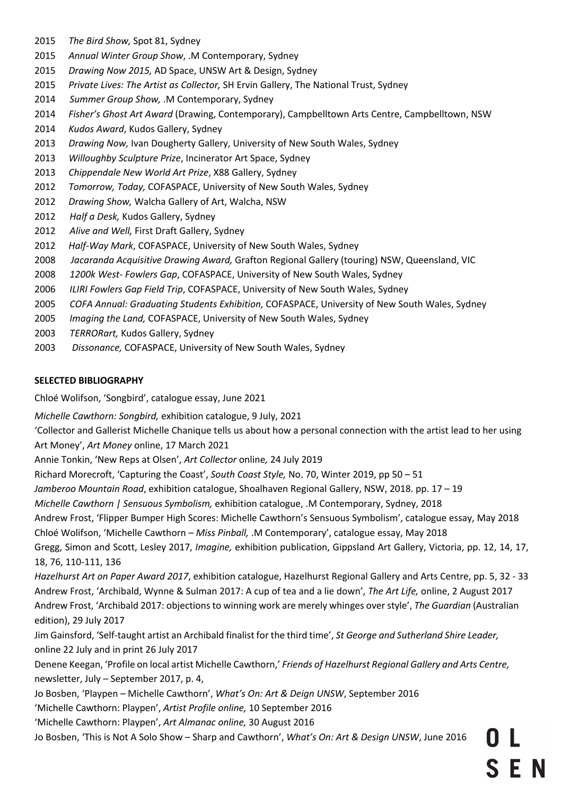- 2015 *The Bird Show,* Spot 81, Sydney
- 2015 *Annual Winter Group Show*, .M Contemporary, Sydney
- 2015 *Drawing Now 2015,* AD Space, UNSW Art & Design, Sydney
- 2015 *Private Lives: The Artist as Collector,* SH Ervin Gallery, The National Trust, Sydney
- 2014 *Summer Group Show,* .M Contemporary, Sydney
- 2014 *Fisher's Ghost Art Award* (Drawing, Contemporary), Campbelltown Arts Centre, Campbelltown, NSW
- 2014 *Kudos Award*, Kudos Gallery, Sydney
- 2013 *Drawing Now,* Ivan Dougherty Gallery, University of New South Wales, Sydney
- 2013 *Willoughby Sculpture Prize*, Incinerator Art Space, Sydney
- 2013 *Chippendale New World Art Prize*, X88 Gallery, Sydney
- 2012 *Tomorrow, Today,* COFASPACE, University of New South Wales, Sydney
- 2012 *Drawing Show,* Walcha Gallery of Art, Walcha, NSW
- 2012 *Half a Desk,* Kudos Gallery, Sydney
- 2012 *Alive and Well,* First Draft Gallery, Sydney
- 2012 *Half-Way Mark*, COFASPACE, University of New South Wales, Sydney
- 2008 *Jacaranda Acquisitive Drawing Award,* Grafton Regional Gallery (touring) NSW, Queensland, VIC
- 2008 *1200k West- Fowlers Gap*, COFASPACE, University of New South Wales, Sydney
- 2006 *ILIRI Fowlers Gap Field Trip*, COFASPACE, University of New South Wales, Sydney
- 2005 *COFA Annual: Graduating Students Exhibition,* COFASPACE, University of New South Wales, Sydney
- 2005 *Imaging the Land,* COFASPACE, University of New South Wales, Sydney
- 2003 *TERRORart,* Kudos Gallery, Sydney
- 2003 *Dissonance,* COFASPACE, University of New South Wales, Sydney

# **SELECTED BIBLIOGRAPHY**

Chloé Wolifson, 'Songbird', catalogue essay, June 2021

*Michelle Cawthorn: Songbird,* exhibition catalogue, 9 July, 2021

'Collector and Gallerist Michelle Chanique tells us about how a personal connection with the artist lead to her using Art Money', *Art Money* online, 17 March 2021

Annie Tonkin, 'New Reps at Olsen', *Art Collector* online*,* 24 July 2019

Richard Morecroft, 'Capturing the Coast', *South Coast Style,* No. 70, Winter 2019, pp 50 – 51

*Jamberoo Mountain Road*, exhibition catalogue, Shoalhaven Regional Gallery, NSW, 2018. pp. 17 – 19

*Michelle Cawthorn | Sensuous Symbolism,* exhibition catalogue, .M Contemporary, Sydney, 2018

Andrew Frost, 'Flipper Bumper High Scores: Michelle Cawthorn's Sensuous Symbolism', catalogue essay, May 2018

Chloé Wolifson, 'Michelle Cawthorn – *Miss Pinball,* .M Contemporary', catalogue essay, May 2018

Gregg, Simon and Scott, Lesley 2017, *Imagine,* exhibition publication, Gippsland Art Gallery, Victoria, pp. 12, 14, 17, 18, 76, 110-111, 136

*Hazelhurst Art on Paper Award 2017*, exhibition catalogue, Hazelhurst Regional Gallery and Arts Centre, pp. 5, 32 - 33 Andrew Frost, 'Archibald, Wynne & Sulman 2017: A cup of tea and a lie down', *The Art Life,* online, 2 August 2017 Andrew Frost, 'Archibald 2017: objections to winning work are merely whinges over style', *The Guardian* (Australian edition), 29 July 2017

Jim Gainsford, 'Self-taught artist an Archibald finalist for the third time', *St George and Sutherland Shire Leader,*  online 22 July and in print 26 July 2017

Denene Keegan, 'Profile on local artist Michelle Cawthorn,' *Friends of Hazelhurst Regional Gallery and Arts Centre,*  newsletter, July – September 2017, p. 4,

Jo Bosben, 'Playpen – Michelle Cawthorn', *What's On: Art & Deign UNSW*, September 2016

'Michelle Cawthorn: Playpen', *Artist Profile online,* 10 September 2016

'Michelle Cawthorn: Playpen', *Art Almanac online,* 30 August 2016

Jo Bosben, 'This is Not A Solo Show – Sharp and Cawthorn', *What's On: Art & Design UNSW*, June 2016